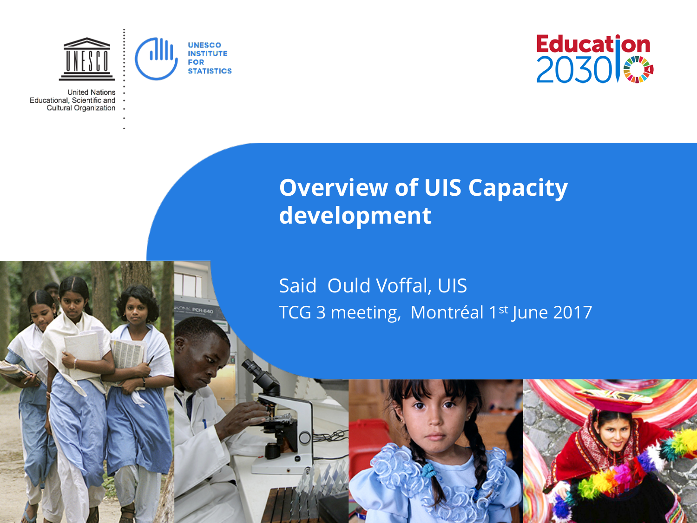

**E PCR ELSA** 

**United Nations** Educational, Scientific and Cultural Organization



# **Overview of UIS Capacity development**

# Said Ould Voffal, UIS TCG 3 meeting, Montréal 1<sup>st</sup> June 2017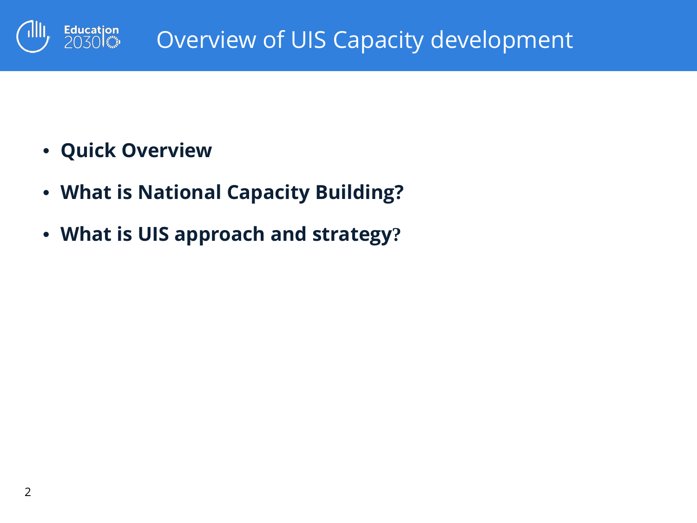

- **Quick Overview**
- **What is National Capacity Building?**
- **What is UIS approach and strategy?**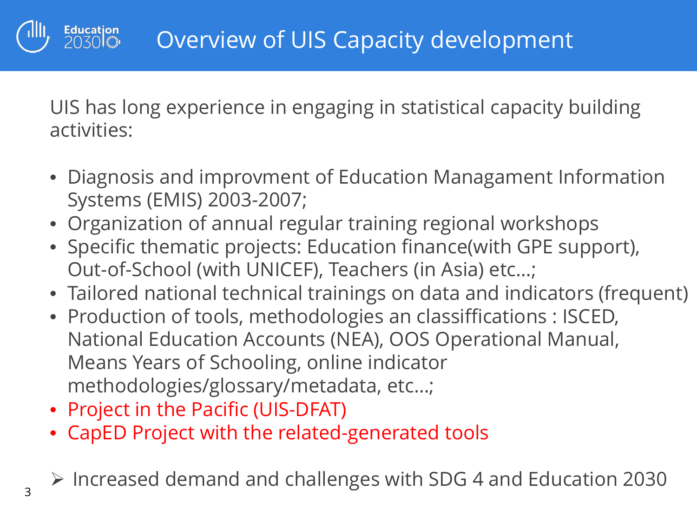UIS has long experience in engaging in statistical capacity building activities:

- Diagnosis and improvment of Education Managament Information Systems (EMIS) 2003-2007;
- Organization of annual regular training regional workshops
- Specific thematic projects: Education finance(with GPE support), Out-of-School (with UNICEF), Teachers (in Asia) etc…;
- Tailored national technical trainings on data and indicators (frequent)
- Production of tools, methodologies an classiffications : ISCED, National Education Accounts (NEA), OOS Operational Manual, Means Years of Schooling, online indicator methodologies/glossary/metadata, etc…;
- Project in the Pacific (UIS-DFAT)
- CapED Project with the related-generated tools

 $\triangleright$  Increased demand and challenges with SDG 4 and Education 2030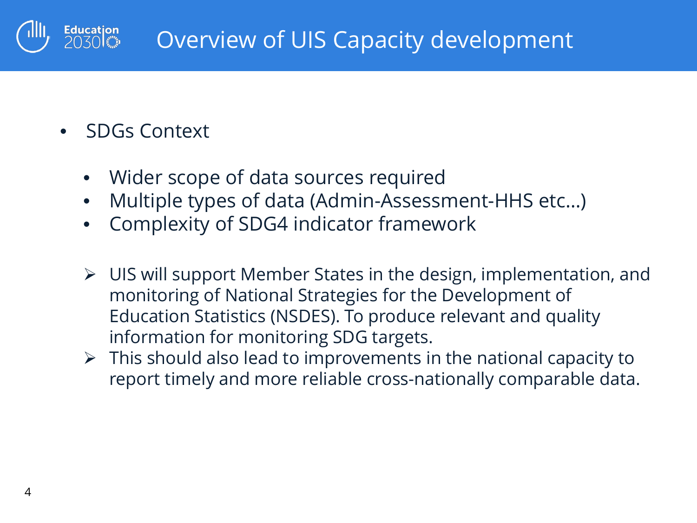#### Education<br>2030 Overview of UIS Capacity development

- SDGs Context
	- Wider scope of data sources required
	- Multiple types of data (Admin-Assessment-HHS etc…)
	- Complexity of SDG4 indicator framework
	- $\triangleright$  UIS will support Member States in the design, implementation, and monitoring of National Strategies for the Development of Education Statistics (NSDES). To produce relevant and quality information for monitoring SDG targets.
	- $\triangleright$  This should also lead to improvements in the national capacity to report timely and more reliable cross-nationally comparable data.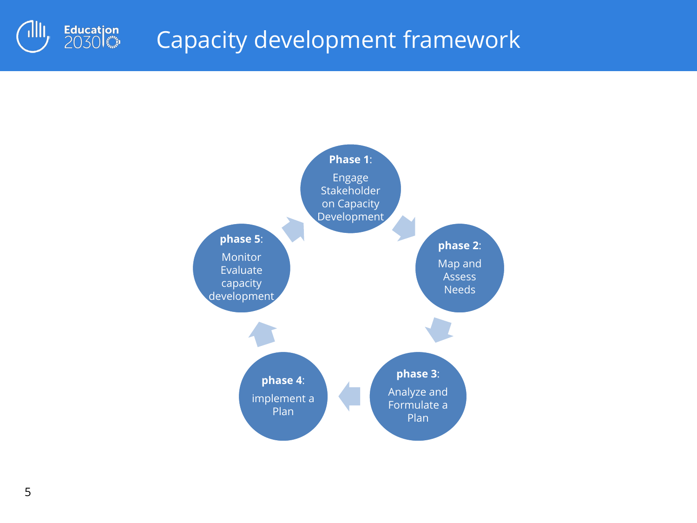# Capacity development framework



Education<br>2030

<u>alli</u>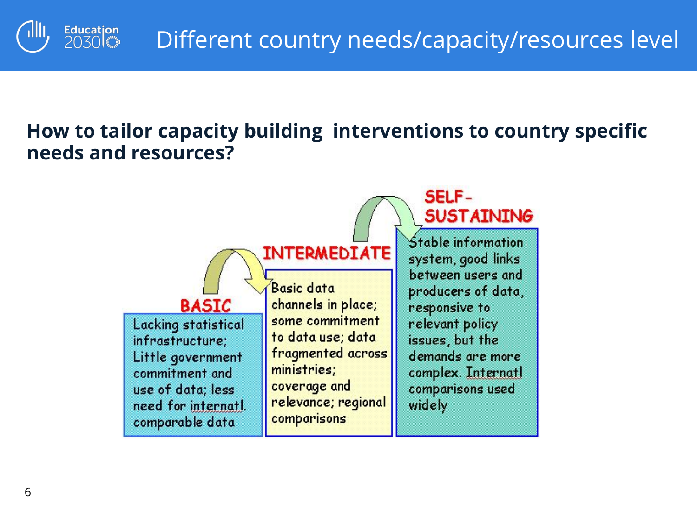## **How to tailor capacity building interventions to country specific needs and resources?**

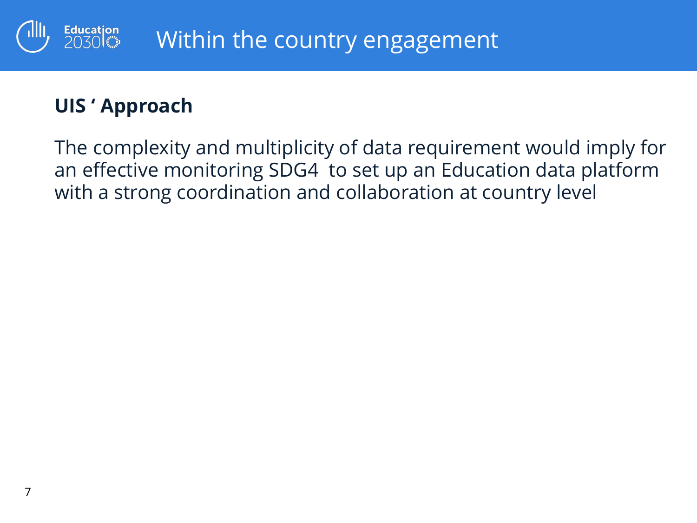## **UIS ' Approach**

The complexity and multiplicity of data requirement would imply for an effective monitoring SDG4 to set up an Education data platform with a strong coordination and collaboration at country level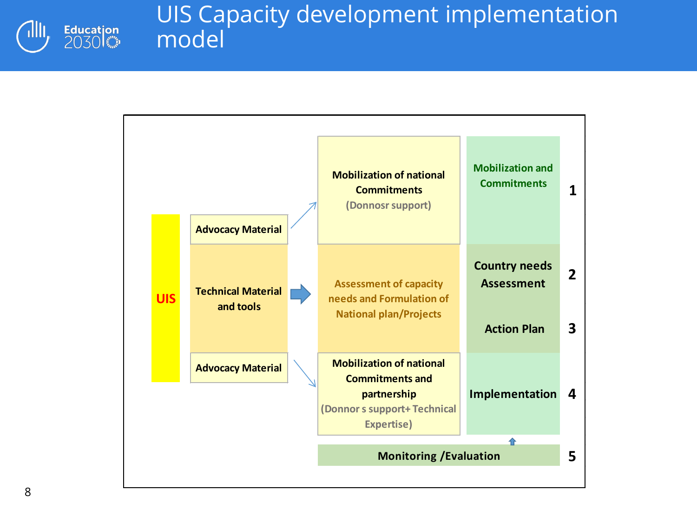# UIS Capacity development implementation model



Education<br>2030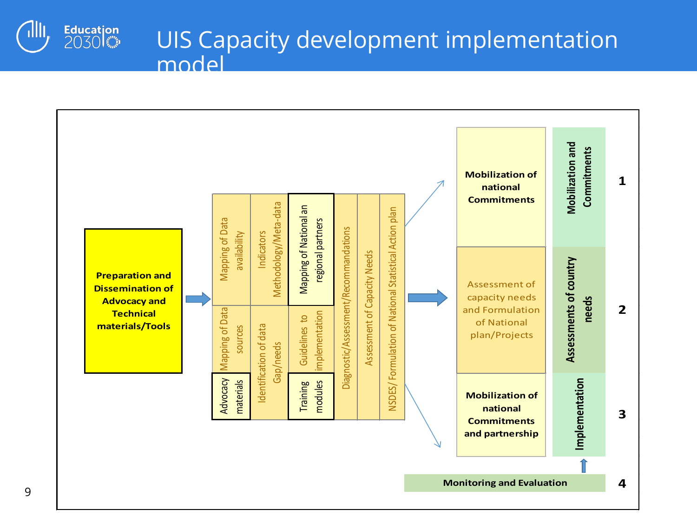## UIS Capacity development implementation model



Education<br>2030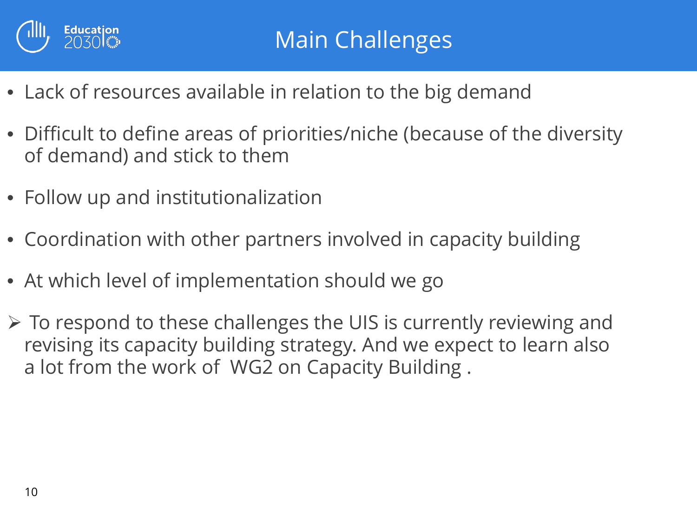

- Lack of resources available in relation to the big demand
- Difficult to define areas of priorities/niche (because of the diversity of demand) and stick to them
- Follow up and institutionalization
- Coordination with other partners involved in capacity building
- At which level of implementation should we go
- To respond to these challenges the UIS is currently reviewing and revising its capacity building strategy. And we expect to learn also a lot from the work of WG2 on Capacity Building .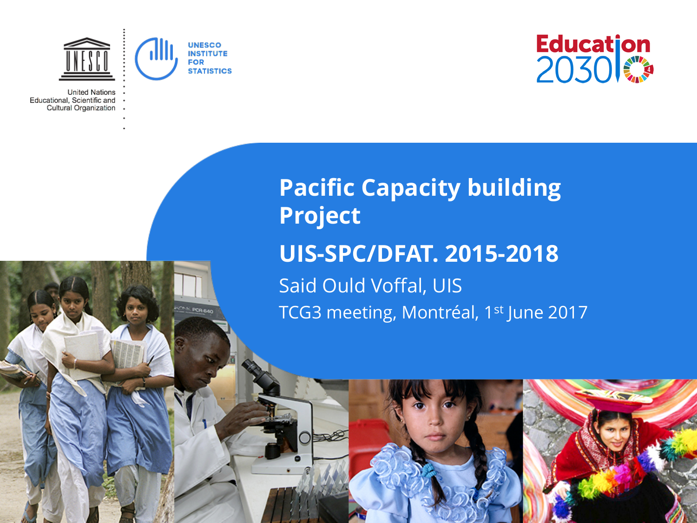

**E PCR ELSA** 

**United Nations** Educational, Scientific and Cultural Organization



**Pacific Capacity building Project UIS-SPC/DFAT. 2015-2018** Said Ould Voffal, UIS TCG3 meeting, Montréal, 1<sup>st</sup> June 2017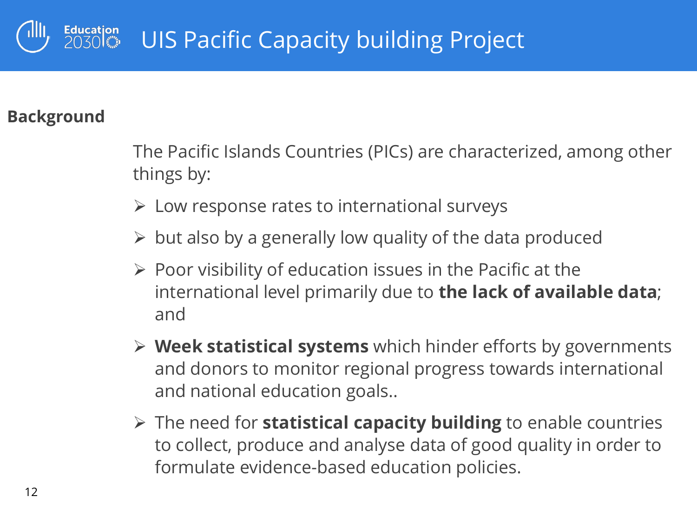#### Education<br>2030 UIS Pacific Capacity building Project

#### **Background**

- The Pacific Islands Countries (PICs) are characterized, among other things by:
- $\triangleright$  Low response rates to international surveys
- $\triangleright$  but also by a generally low quality of the data produced
- $\triangleright$  Poor visibility of education issues in the Pacific at the international level primarily due to **the lack of available data**; and
- **Week statistical systems** which hinder efforts by governments and donors to monitor regional progress towards international and national education goals..
- The need for **statistical capacity building** to enable countries to collect, produce and analyse data of good quality in order to formulate evidence-based education policies.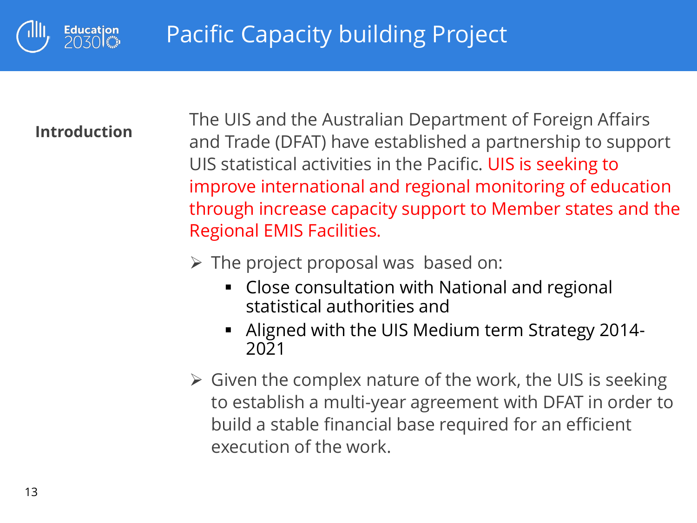

### **Introduction**

The UIS and the Australian Department of Foreign Affairs and Trade (DFAT) have established a partnership to support UIS statistical activities in the Pacific. UIS is seeking to improve international and regional monitoring of education through increase capacity support to Member states and the Regional EMIS Facilities.

### $\triangleright$  The project proposal was based on:

- **Close consultation with National and regional** statistical authorities and
- Aligned with the UIS Medium term Strategy 2014- 2021
- $\triangleright$  Given the complex nature of the work, the UIS is seeking to establish a multi-year agreement with DFAT in order to build a stable financial base required for an efficient execution of the work.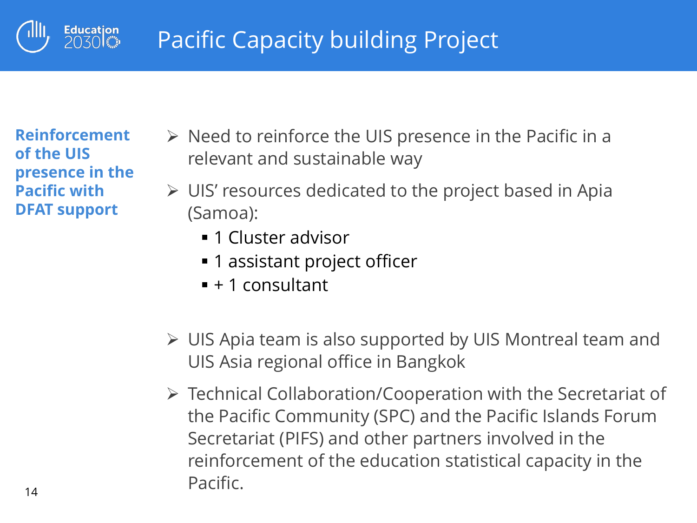**Reinforcement of the UIS presence in the Pacific with DFAT support**

,

- $\triangleright$  Need to reinforce the UIS presence in the Pacific in a relevant and sustainable way
- $\triangleright$  UIS' resources dedicated to the project based in Apia (Samoa):
	- **1** Cluster advisor
	- **1** assistant project officer
	- $+ 1$  consultant
- UIS Apia team is also supported by UIS Montreal team and UIS Asia regional office in Bangkok
- Technical Collaboration/Cooperation with the Secretariat of the Pacific Community (SPC) and the Pacific Islands Forum Secretariat (PIFS) and other partners involved in the reinforcement of the education statistical capacity in the Pacific.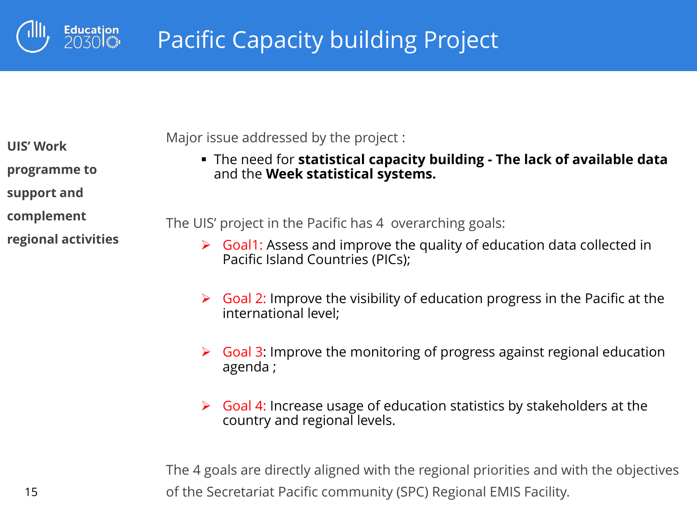**UIS' Work** 

**programme to** 

**support and** 

**complement** 

**regional activities**

Major issue addressed by the project :

 The need for **statistical capacity building - The lack of available data**  and the **Week statistical systems.**

The UIS' project in the Pacific has 4 overarching goals:

- $\triangleright$  Goal1: Assess and improve the quality of education data collected in Pacific Island Countries (PICs);
- $\triangleright$  Goal 2: Improve the visibility of education progress in the Pacific at the international level;
- $\triangleright$  Goal 3: Improve the monitoring of progress against regional education agenda ;
- $\triangleright$  Goal 4: Increase usage of education statistics by stakeholders at the country and regional levels.

The 4 goals are directly aligned with the regional priorities and with the objectives of the Secretariat Pacific community (SPC) Regional EMIS Facility.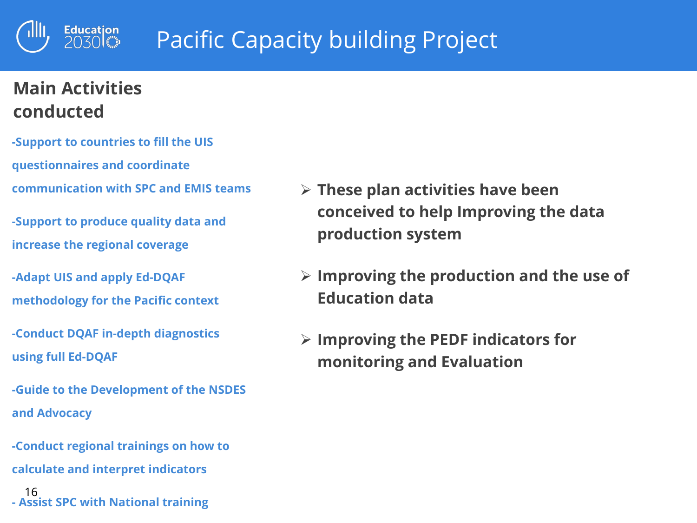#### Education<br>2030 Pacific Capacity building Project

### **Main Activities conducted**

**-Support to countries to fill the UIS questionnaires and coordinate communication with SPC and EMIS teams**

**-Support to produce quality data and increase the regional coverage**

**-Adapt UIS and apply Ed-DQAF methodology for the Pacific context**

**-Conduct DQAF in-depth diagnostics using full Ed-DQAF**

**-Guide to the Development of the NSDES and Advocacy**

**-Conduct regional trainings on how to calculate and interpret indicators**

16 **- Assist SPC with National training**

- **These plan activities have been conceived to help Improving the data production system**
- **Improving the production and the use of Education data**
- **Improving the PEDF indicators for monitoring and Evaluation**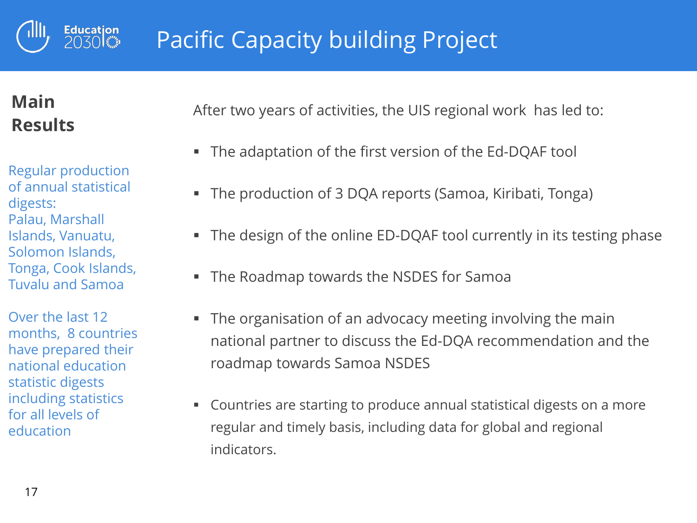#### Education<br>2030 Pacific Capacity building Project

### **Main Results**

Regular production of annual statistical digests: Palau, Marshall Islands, Vanuatu, Solomon Islands, Tonga, Cook Islands, Tuvalu and Samoa

Over the last 12 months, 8 countries have prepared their national education statistic digests including statistics for all levels of education

After two years of activities, the UIS regional work has led to:

- The adaptation of the first version of the Ed-DQAF tool
- The production of 3 DQA reports (Samoa, Kiribati, Tonga)
- The design of the online ED-DQAF tool currently in its testing phase
- The Roadmap towards the NSDES for Samoa
- The organisation of an advocacy meeting involving the main national partner to discuss the Ed-DQA recommendation and the roadmap towards Samoa NSDES
- Countries are starting to produce annual statistical digests on a more regular and timely basis, including data for global and regional indicators.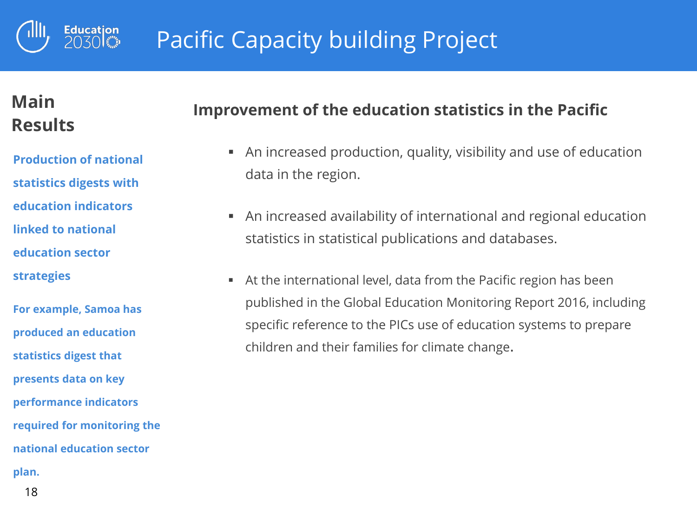#### **Educatjon** Pacific Capacity building Project

### **Main Results**

**Production of national statistics digests with education indicators linked to national education sector strategies**

**For example, Samoa has produced an education statistics digest that presents data on key performance indicators required for monitoring the national education sector plan.** 

18

#### **Improvement of the education statistics in the Pacific**

- An increased production, quality, visibility and use of education data in the region.
- An increased availability of international and regional education statistics in statistical publications and databases.
- At the international level, data from the Pacific region has been published in the Global Education Monitoring Report 2016, including specific reference to the PICs use of education systems to prepare children and their families for climate change.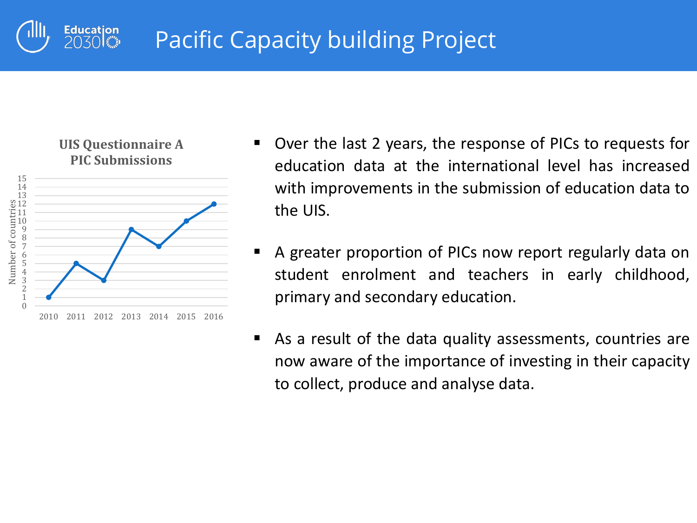

- Over the last 2 years, the response of PICs to requests for education data at the international level has increased with improvements in the submission of education data to the UIS.
- A greater proportion of PICs now report regularly data on student enrolment and teachers in early childhood, primary and secondary education.
- As a result of the data quality assessments, countries are now aware of the importance of investing in their capacity to collect, produce and analyse data.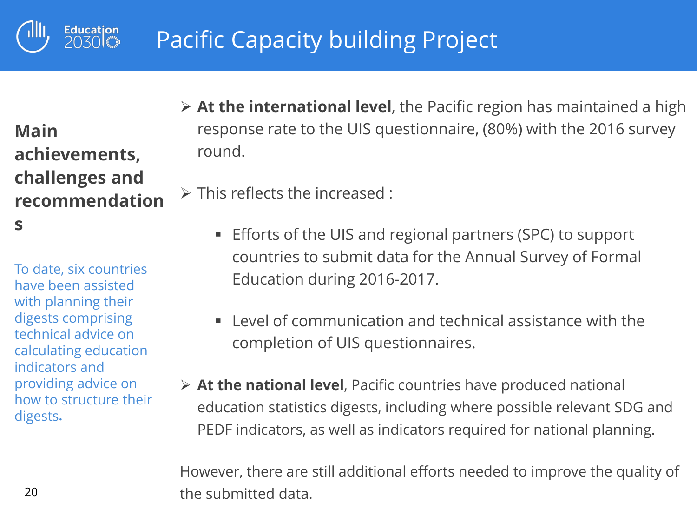**Main achievements, challenges and recommendation s**

To date, six countries have been assisted with planning their digests comprising technical advice on calculating education indicators and providing advice on how to structure their digests**.** 

 **At the international level**, the Pacific region has maintained a high response rate to the UIS questionnaire, (80%) with the 2016 survey round.

 $\triangleright$  This reflects the increased :

- Efforts of the UIS and regional partners (SPC) to support countries to submit data for the Annual Survey of Formal Education during 2016-2017.
- Level of communication and technical assistance with the completion of UIS questionnaires.
- **At the national level**, Pacific countries have produced national education statistics digests, including where possible relevant SDG and PEDF indicators, as well as indicators required for national planning.

However, there are still additional efforts needed to improve the quality of the submitted data.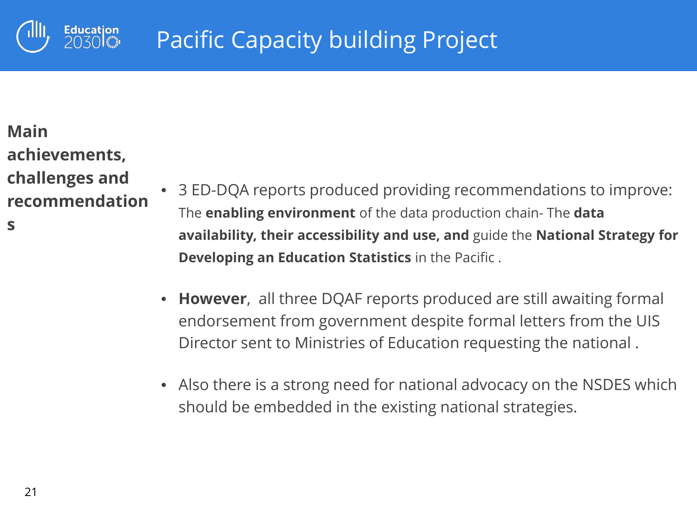**Main** 

**achievements,** 

**challenges and** 

- **recommendation**
- **s**
- 3 ED-DQA reports produced providing recommendations to improve: The **enabling environment** of the data production chain- The **data availability, their accessibility and use, and** guide the **National Strategy for Developing an Education Statistics** in the Pacific .
- **However**, all three DQAF reports produced are still awaiting formal endorsement from government despite formal letters from the UIS Director sent to Ministries of Education requesting the national .
- Also there is a strong need for national advocacy on the NSDES which should be embedded in the existing national strategies.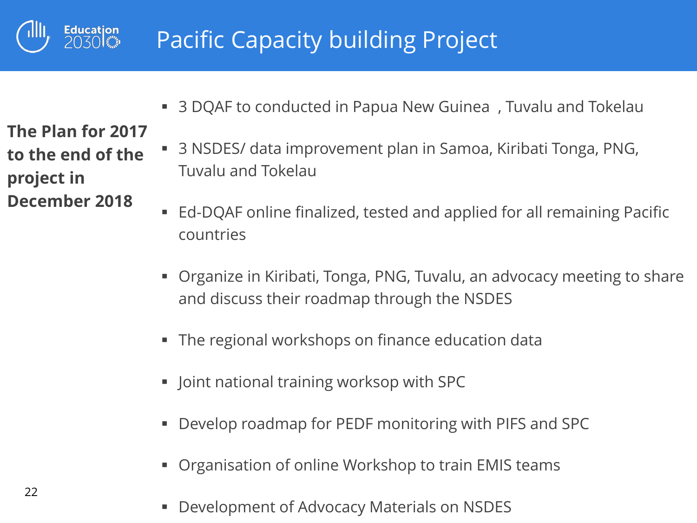#### Education<br>2030 Pacific Capacity building Project

**The Plan for 2017 to the end of the project in December 2018**

- 3 DQAF to conducted in Papua New Guinea , Tuvalu and Tokelau
- 3 NSDES/ data improvement plan in Samoa, Kiribati Tonga, PNG, Tuvalu and Tokelau
- Ed-DQAF online finalized, tested and applied for all remaining Pacific countries
- Organize in Kiribati, Tonga, PNG, Tuvalu, an advocacy meeting to share and discuss their roadmap through the NSDES
- The regional workshops on finance education data
- Joint national training worksop with SPC
- Develop roadmap for PEDF monitoring with PIFS and SPC
- Organisation of online Workshop to train EMIS teams
- Development of Advocacy Materials on NSDES